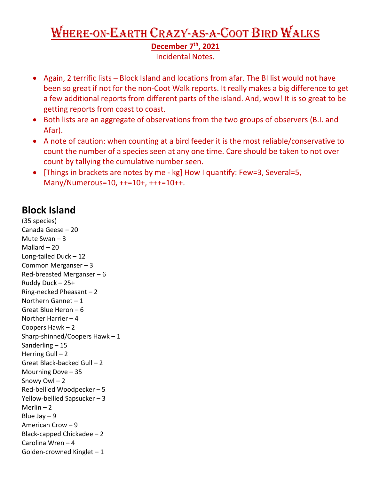## Where-on-Earth Crazy-as-a-Coot Bird Walks **December 7th, 2021**

Incidental Notes.

- Again, 2 terrific lists Block Island and locations from afar. The BI list would not have been so great if not for the non-Coot Walk reports. It really makes a big difference to get a few additional reports from different parts of the island. And, wow! It is so great to be getting reports from coast to coast.
- Both lists are an aggregate of observations from the two groups of observers (B.I. and Afar).
- A note of caution: when counting at a bird feeder it is the most reliable/conservative to count the number of a species seen at any one time. Care should be taken to not over count by tallying the cumulative number seen.
- [Things in brackets are notes by me kg] How I quantify: Few=3, Several=5, Many/Numerous=10, ++=10+, +++=10++.

## **Block Island**

(35 species) Canada Geese – 20 Mute Swan – 3 Mallard – 20 Long-tailed Duck – 12 Common Merganser – 3 Red-breasted Merganser – 6 Ruddy Duck – 25+ Ring-necked Pheasant – 2 Northern Gannet – 1 Great Blue Heron – 6 Norther Harrier – 4 Coopers Hawk – 2 Sharp-shinned/Coopers Hawk – 1 Sanderling – 15 Herring Gull  $-2$ Great Black-backed Gull – 2 Mourning Dove – 35 Snowy Owl – 2 Red-bellied Woodpecker – 5 Yellow-bellied Sapsucker – 3 Merlin  $-2$ Blue Jay – 9 American Crow – 9 Black-capped Chickadee – 2 Carolina Wren – 4 Golden-crowned Kinglet – 1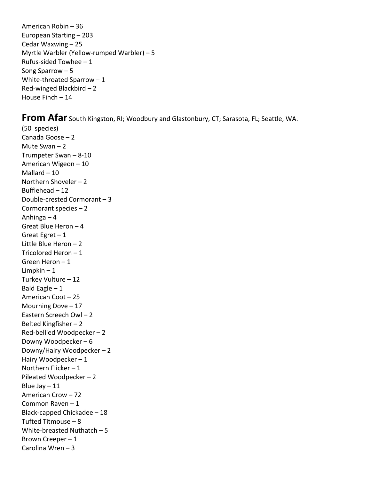American Robin – 36 European Starting – 203 Cedar Waxwing – 25 Myrtle Warbler (Yellow-rumped Warbler) – 5 Rufus-sided Towhee – 1 Song Sparrow – 5 White-throated Sparrow – 1 Red-winged Blackbird – 2 House Finch – 14

**From Afar** South Kingston, RI; Woodbury and Glastonbury, CT; Sarasota, FL; Seattle, WA.

(50 species) Canada Goose – 2 Mute Swan – 2 Trumpeter Swan – 8-10 American Wigeon – 10 Mallard – 10 Northern Shoveler – 2 Bufflehead – 12 Double-crested Cormorant – 3 Cormorant species – 2 Anhinga – 4 Great Blue Heron – 4 Great Egret  $-1$ Little Blue Heron – 2 Tricolored Heron – 1 Green Heron – 1 Limpkin  $-1$ Turkey Vulture – 12 Bald Eagle  $-1$ American Coot – 25 Mourning Dove – 17 Eastern Screech Owl – 2 Belted Kingfisher – 2 Red-bellied Woodpecker – 2 Downy Woodpecker – 6 Downy/Hairy Woodpecker – 2 Hairy Woodpecker – 1 Northern Flicker – 1 Pileated Woodpecker – 2 Blue Jay  $-11$ American Crow – 72 Common Raven – 1 Black-capped Chickadee – 18 Tufted Titmouse – 8 White-breasted Nuthatch – 5 Brown Creeper – 1 Carolina Wren – 3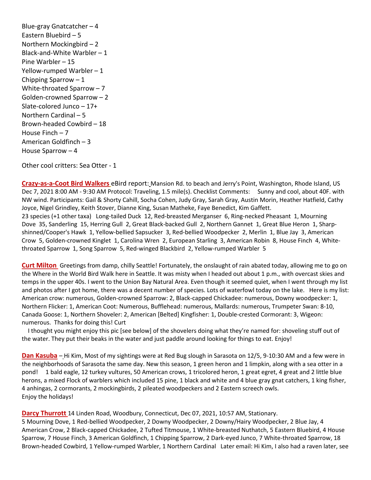Blue-gray Gnatcatcher – 4 Eastern Bluebird – 5 Northern Mockingbird – 2 Black-and-White Warbler – 1 Pine Warbler – 15 Yellow-rumped Warbler – 1 Chipping Sparrow – 1 White-throated Sparrow – 7 Golden-crowned Sparrow – 2 Slate-colored Junco – 17+ Northern Cardinal – 5 Brown-headed Cowbird – 18 House Finch – 7 American Goldfinch – 3 House Sparrow – 4

Other cool critters: Sea Otter - 1

**Crazy-as-a-Coot Bird Walkers** eBird report: Mansion Rd. to beach and Jerry's Point, Washington, Rhode Island, US Dec 7, 2021 8:00 AM - 9:30 AM Protocol: Traveling, 1.5 mile(s). Checklist Comments: Sunny and cool, about 40F. with NW wind. Participants: Gail & Shorty Cahill, Socha Cohen, Judy Gray, Sarah Gray, Austin Morin, Heather Hatfield, Cathy Joyce, Nigel Grindley, Keith Stover, Dianne King, Susan Matheke, Faye Benedict, Kim Gaffett. 23 species (+1 other taxa) Long-tailed Duck 12, Red-breasted Merganser 6, Ring-necked Pheasant 1, Mourning Dove 35, Sanderling 15, Herring Gull 2, Great Black-backed Gull 2, Northern Gannet 1, Great Blue Heron 1, Sharpshinned/Cooper's Hawk 1, Yellow-bellied Sapsucker 3, Red-bellied Woodpecker 2, Merlin 1, Blue Jay 3, American Crow 5, Golden-crowned Kinglet 1, Carolina Wren 2, European Starling 3, American Robin 8, House Finch 4, Whitethroated Sparrow 1, Song Sparrow 5, Red-winged Blackbird 2, Yellow-rumped Warbler 5

**Curt Milton** Greetings from damp, chilly Seattle! Fortunately, the onslaught of rain abated today, allowing me to go on the Where in the World Bird Walk here in Seattle. It was misty when I headed out about 1 p.m., with overcast skies and temps in the upper 40s. I went to the Union Bay Natural Area. Even though it seemed quiet, when I went through my list and photos after I got home, there was a decent number of species. Lots of waterfowl today on the lake. Here is my list: American crow: numerous, Golden-crowned Sparrow: 2, Black-capped Chickadee: numerous, Downy woodpecker: 1, Northern Flicker: 1, American Coot: Numerous, Bufflehead: numerous, Mallards: numerous, Trumpeter Swan: 8-10, Canada Goose: 1, Northern Shoveler: 2, American [Belted] Kingfisher: 1, Double-crested Cormorant: 3, Wigeon: numerous. Thanks for doing this! Curt

 I thought you might enjoy this pic [see below] of the shovelers doing what they're named for: shoveling stuff out of the water. They put their beaks in the water and just paddle around looking for things to eat. Enjoy!

**Dan Kasuba** – Hi Kim, Most of my sightings were at Red Bug slough in Sarasota on 12/5, 9-10:30 AM and a few were in the neighborhoods of Sarasota the same day. New this season, 1 green heron and 1 limpkin, along with a sea otter in a pond! 1 bald eagle, 12 turkey vultures, 50 American crows, 1 tricolored heron, 1 great egret, 4 great and 2 little blue herons, a mixed Flock of warblers which included 15 pine, 1 black and white and 4 blue gray gnat catchers, 1 king fisher, 4 anhingas, 2 cormorants, 2 mockingbirds, 2 pileated woodpeckers and 2 Eastern screech owls. Enjoy the holidays!

**Darcy Thurrott** 14 Linden Road, Woodbury, Connecticut, Dec 07, 2021, 10:57 AM, Stationary.

5 Mourning Dove, 1 Red-bellied Woodpecker, 2 Downy Woodpecker, 2 Downy/Hairy Woodpecker, 2 Blue Jay, 4 American Crow, 2 Black-capped Chickadee, 2 Tufted Titmouse, 1 White-breasted Nuthatch, 5 Eastern Bluebird, 4 House Sparrow, 7 House Finch, 3 American Goldfinch, 1 Chipping Sparrow, 2 Dark-eyed Junco, 7 White-throated Sparrow, 18 Brown-headed Cowbird, 1 Yellow-rumped Warbler, 1 Northern Cardinal Later email: Hi Kim, I also had a raven later, see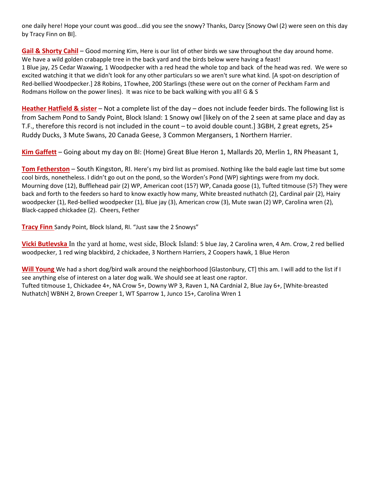one daily here! Hope your count was good...did you see the snowy? Thanks, Darcy [Snowy Owl (2) were seen on this day by Tracy Finn on BI].

**Gail & Shorty Cahil** – Good morning Kim, Here is our list of other birds we saw throughout the day around home. We have a wild golden crabapple tree in the back yard and the birds below were having a feast! 1 Blue jay, 25 Cedar Waxwing, 1 Woodpecker with a red head the whole top and back of the head was red. We were so excited watching it that we didn't look for any other particulars so we aren't sure what kind. [A spot-on description of Red-bellied Woodpecker.] 28 Robins, 1Towhee, 200 Starlings (these were out on the corner of Peckham Farm and Rodmans Hollow on the power lines). It was nice to be back walking with you all! G & S

**Heather Hatfield & sister** – Not a complete list of the day – does not include feeder birds. The following list is from Sachem Pond to Sandy Point, Block Island: 1 Snowy owl [likely on of the 2 seen at same place and day as T.F., therefore this record is not included in the count – to avoid double count.] 3GBH, 2 great egrets, 25+ Ruddy Ducks, 3 Mute Swans, 20 Canada Geese, 3 Common Mergansers, 1 Northern Harrier.

**Kim Gaffett** – Going about my day on BI: (Home) Great Blue Heron 1, Mallards 20, Merlin 1, RN Pheasant 1,

**Tom Fetherston** – South Kingston, RI. Here's my bird list as promised. Nothing like the bald eagle last time but some cool birds, nonetheless. I didn't go out on the pond, so the Worden's Pond (WP) sightings were from my dock. Mourning dove (12), Bufflehead pair (2) WP, American coot (15?) WP, Canada goose (1), Tufted titmouse (5?) They were back and forth to the feeders so hard to know exactly how many, White breasted nuthatch (2), Cardinal pair (2), Hairy woodpecker (1), Red-bellied woodpecker (1), Blue jay (3), American crow (3), Mute swan (2) WP, Carolina wren (2), Black-capped chickadee (2). Cheers, Fether

**Tracy Finn** Sandy Point, Block Island, RI. "Just saw the 2 Snowys"

**Vicki Butlevska** In the yard at home, west side, Block Island: 5 blue Jay, 2 Carolina wren, 4 Am. Crow, 2 red bellied woodpecker, 1 red wing blackbird, 2 chickadee, 3 Northern Harriers, 2 Coopers hawk, 1 Blue Heron

**Will Young** We had a short dog/bird walk around the neighborhood [Glastonbury, CT] this am. I will add to the list if I see anything else of interest on a later dog walk. We should see at least one raptor. Tufted titmouse 1, Chickadee 4+, NA Crow 5+, Downy WP 3, Raven 1, NA Cardnial 2, Blue Jay 6+, [White-breasted Nuthatch] WBNH 2, Brown Creeper 1, WT Sparrow 1, Junco 15+, Carolina Wren 1